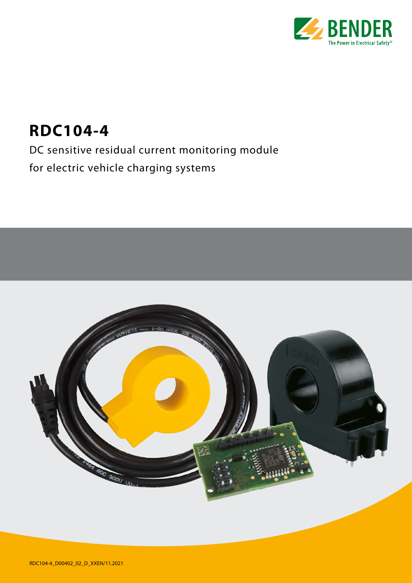

## **RDC104-4**

DC sensitive residual current monitoring module for electric vehicle charging systems

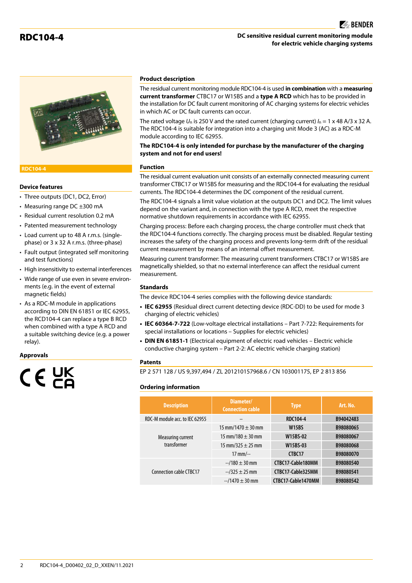#### RDC104-4 **DC sensitive residual current monitoring module for electric vehicle charging systems**





#### **RDC104-4**

#### **Device features**

- Three outputs (DC1, DC2, Error)
- Measuring range DC ±300 mA
- Residual current resolution 0.2 mA
- Patented measurement technology
- Load current up to 48 A r.m.s. (singlephase) or 3 x 32 A r.m.s. (three-phase)
- Fault output (integrated self monitoring and test functions)
- High insensitivity to external interferences
- Wide range of use even in severe environments (e.g. in the event of external magnetic fields)

• As a RDC-M module in applications according to DIN EN 61851 or IEC 62955, the RCD104-4 can replace a type B RCD when combined with a type A RCD and a suitable switching device (e.g. a power relay).

#### **Approvals**

# $C \in Y^{\times}$

#### **Product description**

The residual current monitoring module RDC104-4 is used **in combination** with a **measuring current transformer** CTBC17 or W15BS and a **type A RCD** which has to be provided in the installation for DC fault current monitoring of AC charging systems for electric vehicles in which AC or DC fault currents can occur.

The rated voltage  $U_n$  is 250 V and the rated current (charging current)  $I_n = 1 \times 48$  A/3 x 32 A. The RDC104-4 is suitable for integration into a charging unit Mode 3 (AC) as a RDC-M module according to IEC 62955.

**The RDC104-4 is only intended for purchase by the manufacturer of the charging system and not for end users!**

#### **Function**

The residual current evaluation unit consists of an externally connected measuring current transformer CTBC17 or W15BS for measuring and the RDC104-4 for evaluating the residual currents. The RDC104-4 determines the DC component of the residual current.

The RDC104-4 signals a limit value violation at the outputs DC1 and DC2. The limit values depend on the variant and, in connection with the type A RCD, meet the respective normative shutdown requirements in accordance with IEC 62955.

Charging process: Before each charging process, the charge controller must check that the RDC104-4 functions correctly. The charging process must be disabled. Regular testing increases the safety of the charging process and prevents long-term drift of the residual current measurement by means of an internal offset measurement.

Measuring current transformer: The measuring current transformers CTBC17 or W15BS are magnetically shielded, so that no external interference can affect the residual current measurement.

#### **Standards**

The device RDC104-4 series complies with the following device standards:

- **• IEC 62955** (Residual direct current detecting device (RDC-DD) to be used for mode 3 charging of electric vehicles)
- **• IEC 60364-7-722** (Low-voltage electrical installations Part 7-722: Requirements for special installations or locations – Supplies for electric vehicles)
- **• DIN EN 61851-1** (Electrical equipment of electric road vehicles Electric vehicle conductive charging system – Part 2-2: AC electric vehicle charging station)

#### **Patents**

EP 2 571 128 / US 9,397,494 / ZL 201210157968.6 / CN 103001175, EP 2 813 856

#### **Ordering information**

| <b>Description</b>               | Diameter/<br><b>Connection cable</b> | <b>Type</b>        | Art. No.  |
|----------------------------------|--------------------------------------|--------------------|-----------|
| RDC-M module acc. to IEC 62955   |                                      | <b>RDC104-4</b>    | B94042483 |
| Measuring current<br>transformer | 15 mm/1470 $\pm$ 30 mm               | <b>W15BS</b>       | B98080065 |
|                                  | 15 mm/180 $\pm$ 30 mm                | W15BS-02           | B98080067 |
|                                  | 15 mm/325 $\pm$ 25 mm                | W15BS-03           | B98080068 |
|                                  | $17$ mm/--                           | CTBC17             | B98080070 |
| Connection cable CTBC17          | $-180 \pm 30$ mm                     | CTBC17-Cable180MM  | B98080540 |
|                                  | $-2325 \pm 25$ mm                    | CTBC17-Cable325MM  | B98080541 |
|                                  | $-$ /1470 $\pm$ 30 mm                | CTBC17-Cable1470MM | B98080542 |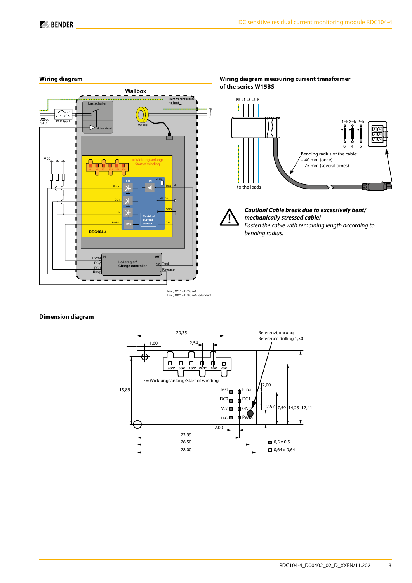1) اده) 4 5 6

5



### **Wiring diagram**

#### **Dimension diagram**

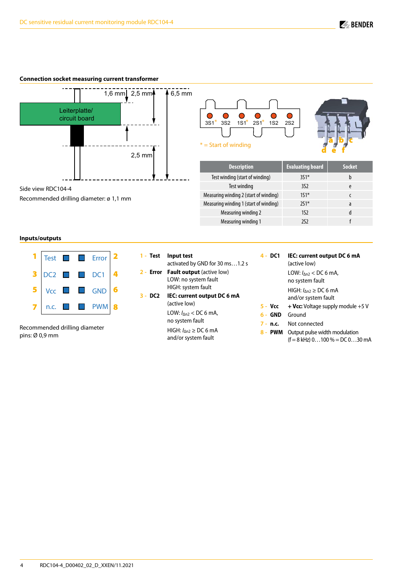#### **Connection socket measuring current transformer**



 $\bullet$ C  $\bullet$  $\bullet$  $\bullet$ С 3S1\* 3S2 1S1<sup>\*</sup> 2S1<sup>\*</sup> 1S2 2S2  $*$  = Start of winding



| <b>Description</b>                     | <b>Evaluating board</b> | <b>Socket</b> |
|----------------------------------------|-------------------------|---------------|
| Test winding (start of winding)        | $351*$                  | b             |
| Test winding                           | 352                     | e             |
| Measuring winding 2 (start of winding) | $151*$                  |               |
| Measuring winding 1 (start of winding) | $251*$                  | a             |
| Measuring winding 2                    | 1S <sub>2</sub>         | d             |
| Measuring winding 1                    | 2S2                     |               |

#### **Inputs/outputs**

|   |      |  | $\left  \text{Test} \right $ $\Box$ Error $\left  \right $ 2 |  |
|---|------|--|--------------------------------------------------------------|--|
| 3 |      |  | DC2 DC1                                                      |  |
|   |      |  | $Vcc$ <b>d</b> GND                                           |  |
|   | n.c. |  | $\blacksquare$ PWM                                           |  |

Recommended drilling diameter: ø 1,1 mm

Recommended drilling diameter pins: Ø 0,9 mm

| 1 - Test Input test<br>activated by GND for 30 ms1.2 s    |
|-----------------------------------------------------------|
| 2 - Error Fault output (active low)                       |
| LOW: no system fault                                      |
| HIGH: system fault                                        |
| 3 - DC2 IEC: current output DC 6 mA<br>(active low)       |
| LOW: $I_{\Delta n2}$ < DC 6 mA,<br>no system fault        |
| HIGH: $I_{\text{AD}} \geq$ DC 6 mA<br>and/or system fault |

| 4 - DC1                  | IEC: current output DC 6 mA<br>(active low)               |
|--------------------------|-----------------------------------------------------------|
|                          | LOW: $I_{\Delta n2}$ < DC 6 mA,<br>no system fault        |
|                          | HIGH: $I_{\text{M2}} \geq$ DC 6 mA<br>and/or system fault |
| 5 - Vcc                  | <b>+ Vcc:</b> Voltage supply module $+5$ V                |
| $\epsilon$<br><b>CND</b> | $C$ round                                                 |

| 6 - | <b>GND</b> | Ground |  |
|-----|------------|--------|--|
|     |            |        |  |

- **7 - n.c.** Not connected
- **8 - PWM** Output pulse width modulation  $(f = 8$  kHz)  $0...100% = DC 0...30$  mA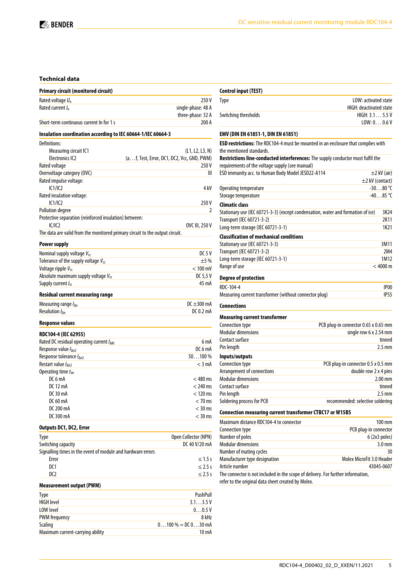#### **Technical data**

| <b>Primary circuit (monitored circuit)</b>                                        |                                            |
|-----------------------------------------------------------------------------------|--------------------------------------------|
| Rated voltage $U_n$                                                               | 250V                                       |
| Rated current / <sub>n</sub>                                                      | single-phase: 48 A                         |
|                                                                                   | three-phase: 32 A                          |
| Short-term continuous current In for 1 s                                          | 200 A                                      |
|                                                                                   |                                            |
| Insulation coordination according to IEC 60664-1/IEC 60664-3                      |                                            |
| Definitions:                                                                      |                                            |
| Measuring circuit IC1                                                             | (L1, L2, L3, N)                            |
| <b>Electronics IC2</b>                                                            | (af, Test, Error, DC1, DC2, Vcc, GND, PWM) |
| Rated voltage                                                                     | 250V                                       |
| Overvoltage category (OVC)                                                        | Ш                                          |
| Rated impulse voltage:                                                            |                                            |
| IC1/IC2                                                                           | 4 kV                                       |
| Rated insulation voltage:                                                         |                                            |
| IC1/IC2                                                                           | 250 V                                      |
| <b>Pollution degree</b><br>Protective separation (reinforced insulation) between: | 2                                          |
| IC/IC2                                                                            | OVC III, 250 V                             |
| The data are valid from the monitored primary circuit to the output circuit.      |                                            |
|                                                                                   |                                            |
| <b>Power supply</b>                                                               |                                            |
| Nominal supply voltage Vcc                                                        | DC 5 V                                     |
| Tolerance of the supply voltage $V_{cc}$                                          | ±5%                                        |
| Voltage ripple V <sub>cc</sub>                                                    | $<$ 100 mV                                 |
| Absolute maximum supply voltage Vcc                                               | DC 5,5 V                                   |
| Supply current $I_{cc}$                                                           | 45 mA                                      |
| Residual current measuring range                                                  |                                            |
| Measuring range $I_{\Delta n}$                                                    | DC $\pm$ 300 mA                            |
| Resolution $I_{\text{An}}$                                                        | DC 0.2 mA                                  |
|                                                                                   |                                            |
| <b>Response values</b>                                                            |                                            |
| RDC104-4 (IEC 62955)                                                              |                                            |
| Rated DC residual operating current / Adc                                         | 6 mA                                       |
| Response value I <sub>An2</sub>                                                   | DC6mA                                      |
| Response tolerance / An2                                                          | $50100\%$                                  |
| Restart value / An2                                                               | $<$ 3 mA                                   |
| Operating time $t_{ae}$                                                           |                                            |
| DC 6 mA                                                                           | $<$ 480 ms                                 |
| DC 12 mA                                                                          | $<$ 240 ms                                 |
| DC 30 mA                                                                          | $< 120$ ms                                 |
| DC 60 mA                                                                          | $<$ 70 ms                                  |
| DC 200 mA                                                                         | $<$ 30 ms                                  |
| DC 300 mA                                                                         | $<$ 30 ms                                  |
| <b>Outputs DC1, DC2, Error</b>                                                    |                                            |
| Type                                                                              | Open Collector (NPN)                       |
| Switching capacity                                                                | DC 40 V/20 mA                              |
| Signalling times in the event of module and hardware errors                       |                                            |
| Error                                                                             | $\leq 1.5$ s                               |
| DC1                                                                               | $\leq$ 2.5 s                               |
| DC2                                                                               | $\leq$ 2.5 s                               |
| <b>Measurement output (PWM)</b>                                                   |                                            |

| PushPull             |
|----------------------|
| 3.13.5V              |
| 0.005V               |
| 8 kHz                |
| $0100\% = D[030]$ mA |
| $10 \text{ mA}$      |
|                      |

| <b>Control input (TEST)</b>                                                                                   |                                      |                  |
|---------------------------------------------------------------------------------------------------------------|--------------------------------------|------------------|
| Type                                                                                                          | LOW: activated state                 |                  |
|                                                                                                               | HIGH: deactivated state              |                  |
| Switching thresholds                                                                                          | HIGH: 3.1 5.5 V                      |                  |
|                                                                                                               | LOW: 0 0.6 V                         |                  |
| EMV (DIN EN 61851-1, DIN EN 61851)                                                                            |                                      |                  |
| ESD restrictions: The RDC104-4 must be mounted in an enclosure that complies with<br>the mentioned standards. |                                      |                  |
| Restrictions line-conducted interferences: The supply conductor must fulfil the                               |                                      |                  |
| requirements of the voltage supply (see manual)                                                               |                                      |                  |
| ESD immunity acc. to Human Body Model JESD22-A114                                                             |                                      | $\pm$ 2 kV (air) |
|                                                                                                               | $\pm$ 2 kV (contact)                 |                  |
| Operating temperature                                                                                         |                                      | $-3080$ °C       |
| Storage temperature                                                                                           |                                      | $-4085$ °C       |
| <b>Climatic class</b>                                                                                         |                                      |                  |
| Stationary use (IEC 60721-3-3) (except condensation, water and formation of ice)                              |                                      | 3K24             |
| Transport (IEC 60721-3-2)                                                                                     |                                      | 2K11             |
| Long-term storage (IEC 60721-3-1)                                                                             |                                      | 1K21             |
| <b>Classification of mechanical conditions</b>                                                                |                                      |                  |
| Stationary use (IEC 60721-3-3)                                                                                |                                      | 3M11             |
| <b>Transport (IEC 60721-3-2)</b>                                                                              |                                      | 2M4              |
| Long-term storage (IEC 60721-3-1)                                                                             |                                      | 1M12             |
| Range of use                                                                                                  |                                      | < 4000 m         |
| <b>Degree of protection</b>                                                                                   |                                      |                  |
| RDC-104-4                                                                                                     |                                      | IP <sub>00</sub> |
| Measuring current transformer (without connector plug)                                                        |                                      | <b>IP55</b>      |
| Connections                                                                                                   |                                      |                  |
| Measuring current transformer                                                                                 |                                      |                  |
| Connection type                                                                                               | PCB plug-in connector 0.65 x 0.65 mm |                  |
| <b>Modular dimensions</b>                                                                                     | single row 6 x 2.54 mm               |                  |
| Contact surface                                                                                               |                                      | tinned           |
| Pin length                                                                                                    |                                      | $2.5 \text{ mm}$ |
| Inputs/outputs                                                                                                |                                      |                  |
| Connection type                                                                                               | PCB plug-in connector 0.5 x 0.5 mm   |                  |
| Arrangement of connections                                                                                    | double row 2 x 4 pins                |                  |
| <b>Modular dimensions</b>                                                                                     |                                      | $2.00$ mm        |
| Contact surface                                                                                               |                                      | tinned           |
| Pin length                                                                                                    |                                      | $2.5 \text{ mm}$ |
| Soldering process for PCB                                                                                     | recommended: selective soldering     |                  |
| Connection measuring current transformer CTBC17 or W15BS                                                      |                                      |                  |
|                                                                                                               |                                      |                  |

| Maximum distance RDC104-4 to connector                                           | $100 \text{ mm}$          |
|----------------------------------------------------------------------------------|---------------------------|
| Connection type                                                                  | PCB plug-in connector     |
| Number of poles                                                                  | 6(2x3 poles)              |
| <b>Modular dimensions</b>                                                        | $3.0 \text{ mm}$          |
| Number of mating cycles                                                          | 30                        |
| Manufacturer type designation                                                    | Molex MicroFit 3.0 Header |
| Article number                                                                   | 43045-0607                |
| The connector is not included in the scope of delivery. For further information, |                           |

refer to the original data sheet created by Molex.